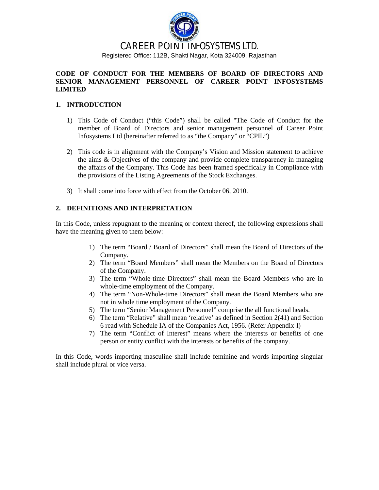

# CAREER POINT INFOSYSTEMS LTD. Registered Office: 112B, Shakti Nagar, Kota 324009, Rajasthan

#### **CODE OF CONDUCT FOR THE MEMBERS OF BOARD OF DIRECTORS AND SENIOR MANAGEMENT PERSONNEL OF CAREER POINT INFOSYSTEMS LIMITED**

#### **1. INTRODUCTION**

- 1) This Code of Conduct ("this Code") shall be called "The Code of Conduct for the member of Board of Directors and senior management personnel of Career Point Infosystems Ltd (hereinafter referred to as "the Company" or "CPIL")
- 2) This code is in alignment with the Company's Vision and Mission statement to achieve the aims & Objectives of the company and provide complete transparency in managing the affairs of the Company. This Code has been framed specifically in Compliance with the provisions of the Listing Agreements of the Stock Exchanges.
- 3) It shall come into force with effect from the October 06, 2010.

## **2. DEFINITIONS AND INTERPRETATION**

In this Code, unless repugnant to the meaning or context thereof, the following expressions shall have the meaning given to them below:

- 1) The term "Board / Board of Directors" shall mean the Board of Directors of the Company.
- 2) The term "Board Members" shall mean the Members on the Board of Directors of the Company.
- 3) The term "Whole-time Directors" shall mean the Board Members who are in whole-time employment of the Company.
- 4) The term "Non-Whole-time Directors" shall mean the Board Members who are not in whole time employment of the Company.
- 5) The term "Senior Management Personnel" comprise the all functional heads.
- 6) The term "Relative" shall mean 'relative' as defined in Section 2(41) and Section 6 read with Schedule IA of the Companies Act, 1956. (Refer Appendix-I)
- 7) The term "Conflict of Interest" means where the interests or benefits of one person or entity conflict with the interests or benefits of the company.

In this Code, words importing masculine shall include feminine and words importing singular shall include plural or vice versa.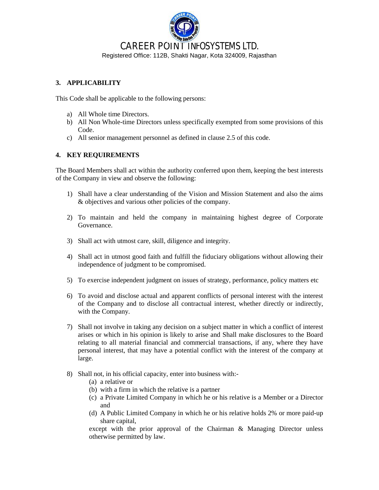

## **3. APPLICABILITY**

This Code shall be applicable to the following persons:

- a) All Whole time Directors.
- b) All Non Whole-time Directors unless specifically exempted from some provisions of this Code.
- c) All senior management personnel as defined in clause 2.5 of this code.

## **4. KEY REQUIREMENTS**

The Board Members shall act within the authority conferred upon them, keeping the best interests of the Company in view and observe the following:

- 1) Shall have a clear understanding of the Vision and Mission Statement and also the aims & objectives and various other policies of the company.
- 2) To maintain and held the company in maintaining highest degree of Corporate Governance.
- 3) Shall act with utmost care, skill, diligence and integrity.
- 4) Shall act in utmost good faith and fulfill the fiduciary obligations without allowing their independence of judgment to be compromised.
- 5) To exercise independent judgment on issues of strategy, performance, policy matters etc
- 6) To avoid and disclose actual and apparent conflicts of personal interest with the interest of the Company and to disclose all contractual interest, whether directly or indirectly, with the Company.
- 7) Shall not involve in taking any decision on a subject matter in which a conflict of interest arises or which in his opinion is likely to arise and Shall make disclosures to the Board relating to all material financial and commercial transactions, if any, where they have personal interest, that may have a potential conflict with the interest of the company at large.
- 8) Shall not, in his official capacity, enter into business with:-
	- (a) a relative or
	- (b) with a firm in which the relative is a partner
	- (c) a Private Limited Company in which he or his relative is a Member or a Director and
	- (d) A Public Limited Company in which he or his relative holds 2% or more paid-up share capital,

except with the prior approval of the Chairman & Managing Director unless otherwise permitted by law.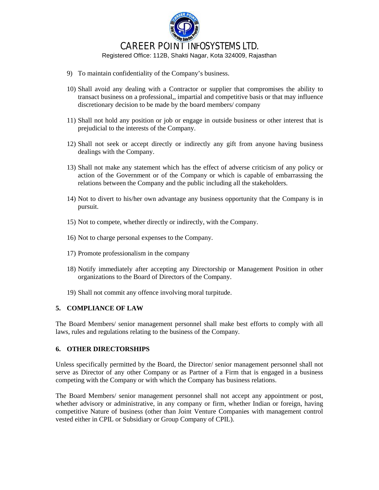

- 9) To maintain confidentiality of the Company's business.
- 10) Shall avoid any dealing with a Contractor or supplier that compromises the ability to transact business on a professional,, impartial and competitive basis or that may influence discretionary decision to be made by the board members/ company
- 11) Shall not hold any position or job or engage in outside business or other interest that is prejudicial to the interests of the Company.
- 12) Shall not seek or accept directly or indirectly any gift from anyone having business dealings with the Company.
- 13) Shall not make any statement which has the effect of adverse criticism of any policy or action of the Government or of the Company or which is capable of embarrassing the relations between the Company and the public including all the stakeholders.
- 14) Not to divert to his/her own advantage any business opportunity that the Company is in pursuit.
- 15) Not to compete, whether directly or indirectly, with the Company.
- 16) Not to charge personal expenses to the Company.
- 17) Promote professionalism in the company
- 18) Notify immediately after accepting any Directorship or Management Position in other organizations to the Board of Directors of the Company.
- 19) Shall not commit any offence involving moral turpitude.

## **5. COMPLIANCE OF LAW**

The Board Members/ senior management personnel shall make best efforts to comply with all laws, rules and regulations relating to the business of the Company.

## **6. OTHER DIRECTORSHIPS**

Unless specifically permitted by the Board, the Director/ senior management personnel shall not serve as Director of any other Company or as Partner of a Firm that is engaged in a business competing with the Company or with which the Company has business relations.

The Board Members/ senior management personnel shall not accept any appointment or post, whether advisory or administrative, in any company or firm, whether Indian or foreign, having competitive Nature of business (other than Joint Venture Companies with management control vested either in CPIL or Subsidiary or Group Company of CPIL).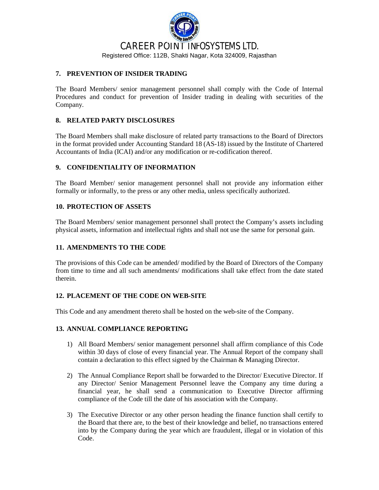# CAREER POINT INFOSYSTEMS LTD. Registered Office: 112B, Shakti Nagar, Kota 324009, Rajasthan

#### **7. PREVENTION OF INSIDER TRADING**

The Board Members/ senior management personnel shall comply with the Code of Internal Procedures and conduct for prevention of Insider trading in dealing with securities of the Company.

### **8. RELATED PARTY DISCLOSURES**

The Board Members shall make disclosure of related party transactions to the Board of Directors in the format provided under Accounting Standard 18 (AS-18) issued by the Institute of Chartered Accountants of India (ICAI) and/or any modification or re-codification thereof.

### **9. CONFIDENTIALITY OF INFORMATION**

The Board Member/ senior management personnel shall not provide any information either formally or informally, to the press or any other media, unless specifically authorized.

#### **10. PROTECTION OF ASSETS**

The Board Members/ senior management personnel shall protect the Company's assets including physical assets, information and intellectual rights and shall not use the same for personal gain.

#### **11. AMENDMENTS TO THE CODE**

The provisions of this Code can be amended/ modified by the Board of Directors of the Company from time to time and all such amendments/ modifications shall take effect from the date stated therein.

#### **12. PLACEMENT OF THE CODE ON WEB-SITE**

This Code and any amendment thereto shall be hosted on the web-site of the Company.

#### **13. ANNUAL COMPLIANCE REPORTING**

- 1) All Board Members/ senior management personnel shall affirm compliance of this Code within 30 days of close of every financial year. The Annual Report of the company shall contain a declaration to this effect signed by the Chairman & Managing Director.
- 2) The Annual Compliance Report shall be forwarded to the Director/ Executive Director. If any Director/ Senior Management Personnel leave the Company any time during a financial year, he shall send a communication to Executive Director affirming compliance of the Code till the date of his association with the Company.
- 3) The Executive Director or any other person heading the finance function shall certify to the Board that there are, to the best of their knowledge and belief, no transactions entered into by the Company during the year which are fraudulent, illegal or in violation of this Code.